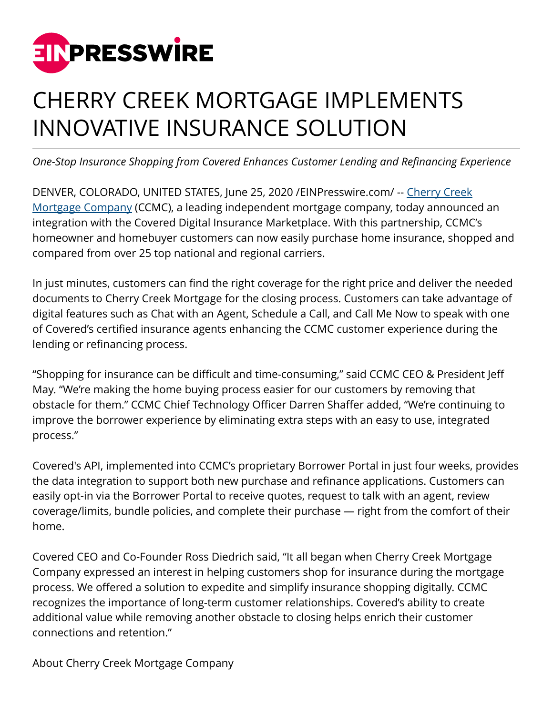

## CHERRY CREEK MORTGAGE IMPLEMENTS INNOVATIVE INSURANCE SOLUTION

*One-Stop Insurance Shopping from Covered Enhances Customer Lending and Refinancing Experience*

DENVER, COLORADO, UNITED STATES, June 25, 2020 / EINPresswire.com/ -- [Cherry Creek](https://www.cherrycreekmortgage.com/) [Mortgage Company](https://www.cherrycreekmortgage.com/) (CCMC), a leading independent mortgage company, today announced an integration with the Covered Digital Insurance Marketplace. With this partnership, CCMC's homeowner and homebuyer customers can now easily purchase home insurance, shopped and compared from over 25 top national and regional carriers.

In just minutes, customers can find the right coverage for the right price and deliver the needed documents to Cherry Creek Mortgage for the closing process. Customers can take advantage of digital features such as Chat with an Agent, Schedule a Call, and Call Me Now to speak with one of Covered's certified insurance agents enhancing the CCMC customer experience during the lending or refinancing process.

"Shopping for insurance can be difficult and time-consuming," said CCMC CEO & President Jeff May. "We're making the home buying process easier for our customers by removing that obstacle for them." CCMC Chief Technology Officer Darren Shaffer added, "We're continuing to improve the borrower experience by eliminating extra steps with an easy to use, integrated process."

Covered's API, implemented into CCMC's proprietary Borrower Portal in just four weeks, provides the data integration to support both new purchase and refinance applications. Customers can easily opt-in via the Borrower Portal to receive quotes, request to talk with an agent, review coverage/limits, bundle policies, and complete their purchase — right from the comfort of their home.

Covered CEO and Co-Founder Ross Diedrich said, "It all began when Cherry Creek Mortgage Company expressed an interest in helping customers shop for insurance during the mortgage process. We offered a solution to expedite and simplify insurance shopping digitally. CCMC recognizes the importance of long-term customer relationships. Covered's ability to create additional value while removing another obstacle to closing helps enrich their customer connections and retention."

About Cherry Creek Mortgage Company